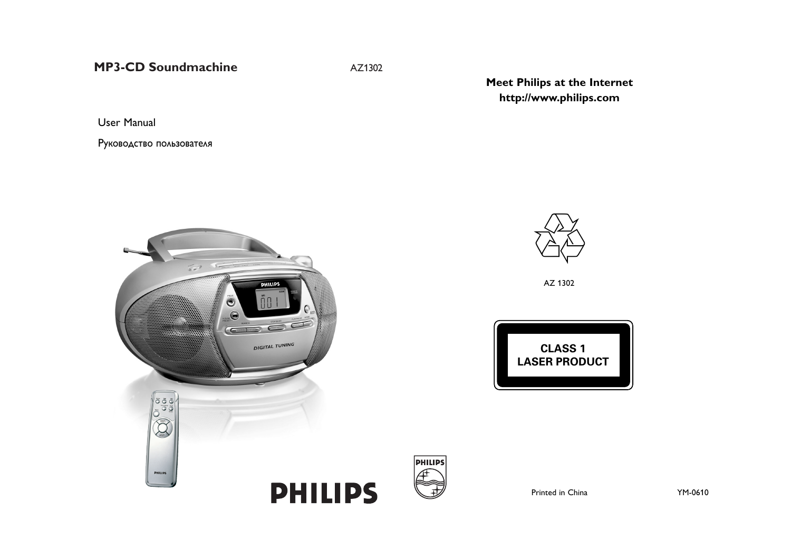**MP3-CD Soundmachine**  $AZ1302$ 

User Manual

Pуководство пользователя

**Meet Philips at the Internet http://www.philips.com**





AZ 1302





Printed in China YM-0610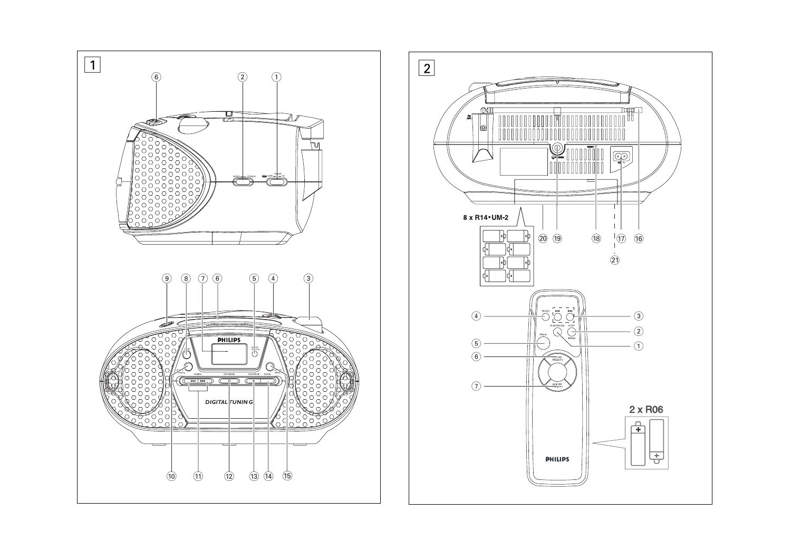

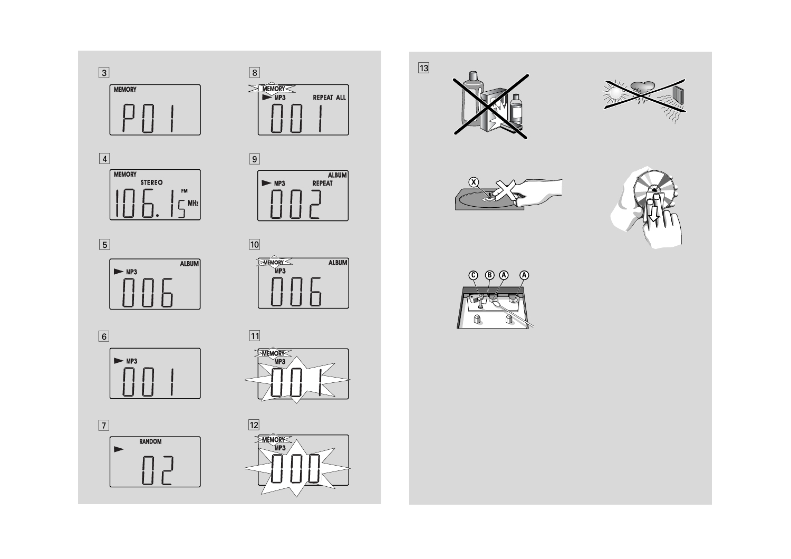





























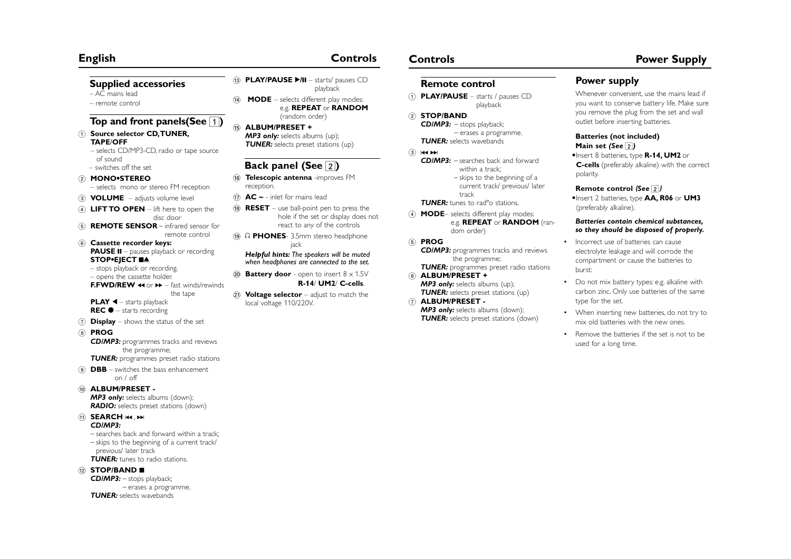# **English Controls**

### **Supplied accessories**

– AC mains lead

– remote control

# **Top and front panels(See**  1**)**

- 1 **Source selector CD,TUNER, TAPE**/**OFF** 
	- selects CD/MP3-CD, radio or tape source of sound
- switches off the set 2 **MONO•STEREO**
	- selects mono or stereo FM reception
- 3 **VOLUME**  adjusts volume level
- 4 **LIFT TO OPEN**  lift here to open the disc door
- 5 **REMOTE SENSOR** infrared sensor for remote control
- 6 **Cassette recorder keys: PAUSE II** – pauses playback or recording STOP•EJECT **■≜** 
	- stops playback or recording.
	- opens the cassette holder. **F.FWD/REW << or >>**  $\blacktriangleright$  – fast winds/rewinds
	- the tape **PLAY**  1 – starts playback **REC**  0 – starts recording
- 7 **Display** shows the status of the set
- 8 **PROG**

*CD/MP3:* programmes tracks and reviews the programme; **TUNER:** programmes preset radio stations

- 9 **DBB** switches the bass enhancement
	- $on / off$

### 0 **ALBUM/PRESET -**

**MP3 only:** selects albums (down); *RADIO:* selects preset stations (down)

- ! **SEARCH**  ∞ , § *CD/MP3:*
	- searches back and forward within a track; – skips to the beginning of a current track/ previous/ later track *TUNER:* tunes to radio stations.

### @ **STOP/BAND**  9

*CD/MP3:* – stops playback; – erases a programme. *TUNER:* selects wavebands

- **13 PLAY/PAUSE ►/II** starts/ pauses CD playback
- $(14)$  **MODE** selects different play modes: e.g. **REPEAT** or **RANDOM** (random order)
- % **ALBUM/PRESET +** *MP3 only:* selects albums (up); **TUNER:** selects preset stations (up)

# **Back panel (See**  2**)**

- **16 Telescopic antenna** -improves FM reception.
- $\widehat{H}$  **AC**  $\sim$  inlet for mains lead
- $(18)$  **RESET** use ball-point pen to press the hole if the set or display does not react to any of the controls
- **19 A PHONES** 3.5mm stereo headphone jack

### *Helpful hints: The speakers will be muted when headphones are connected to the set.*

- $(20)$  **Battery door** open to insert  $8 \times 1.5V$ **R-14**/ **UM2**/ **C-cells**.
- 21 **Voltage selector** adjust to match the local voltage 110/220V.

## **Remote control**

- 1 **PLAY/PAUSE** starts / pauses CD playback
- 2 **STOP/BAND** *CD/MP3:* – stops playback; – erases a programme. **TUNER:** selects wavebands
- $(3)$   $\blacktriangleleft \blacktriangleleft \blacktriangleright \blacktriangleright$ 
	- *CD/MP3:* searches back and forward within a track; – skips to the beginning of a current track/ previous/ later
	- track **TUNER:** tunes to rad<sup>o</sup> stations.
- 4 **MODE** selects different play modes: e.g. **REPEAT** or **RANDOM** (random order)
- 5 **PROG** *CD/MP3:* programmes tracks and reviews the programme;
- **TUNER:** programmes preset radio stations 6 **ALBUM/PRESET + MP3 only:** selects albums (up); **TUNER:** selects preset stations (up)
- 7 **ALBUM/PRESET -** *MP3 only:* selects albums (down); **TUNER:** selects preset stations (down)

# **Controls Controls**

# **Po wer supply**

Whenever convenient, use the mains lead if you want to conserve battery life. Make sure you remove the plug from the set and wall outlet before inserting batteries.

### **Batteries (not included) Main set** *(See* 2*)*

•Insert 8 batteries, type **R-14, UM2** or **C-cells** (preferably alkaline) with the correct polarity.

### **Remote control** *(See* 2*)*

•Insert 2 batteries, type **AA, R06** or **UM3** (preferably alkaline).

### *Batteries contain chemical substances, so they should be disposed of properly.*

- Incorrect use of batteries can cause electrolyte leakage and will corrode the compartment or cause the batteries to burst:
- Do not mix battery types: e.g. alkaline with carbon zinc. Only use batteries of the same type for the set.
- When inserting new batteries, do not try to mix old batteries with the new ones.
- Remove the batteries if the set is not to be used for a long time.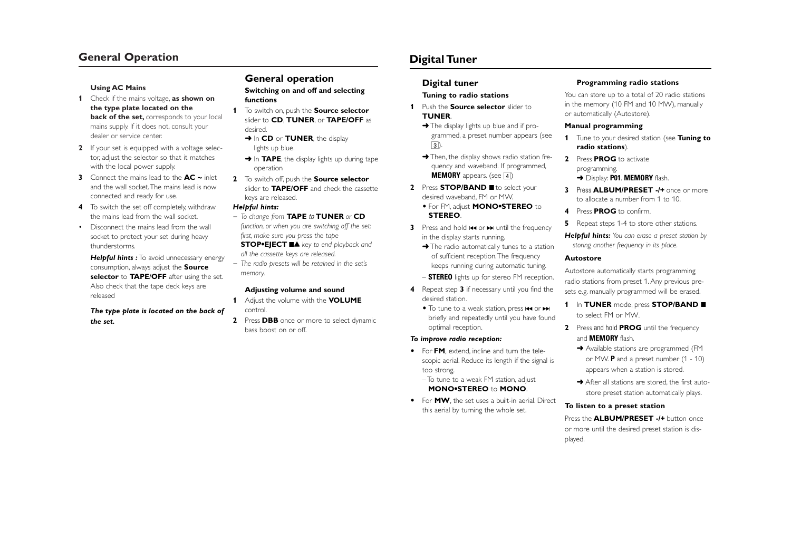# **General Operation**

#### **Using AC Mains**

- **1** Check if the mains voltage, **as shown on the type plate located on the back of the set,** corresponds to your local mains supply. If it does not, consult your dealer or service center.
- **2** If your set is equipped with a voltage selector, adjust the selector so that it matches with the local power supply.
- **3** Connect the mains lead to the **AC ~** inlet and the wall socket.The mains lead is now connected and ready for use.
- **4** To switch the set off completely, withdraw the mains lead from the wall socket.
- Disconnect the mains lead from the wall socket to protect your set during heavy thunderstorms.

**Helpful hints :** To avoid unnecessary energy consumption, always adjust the **Source selector** to **TAPE**/**OFF** after using the set. Also check that the tape deck keys are released

### *The type plate is located on the back of the set.*

# **General operation**

**Switching on and off and selecting functions**

- **1** To switch on, push the **Source selector** slider to **CD**, **TUNER**, or **TAPE/OFF** as desired.
	- **→ In CD** or **TUNER**, the display lights up blue.
	- ➜ In **TAPE**, the display lights up during tape operation
- **2** To switch off, push the **Source selector** slider to **TAPE/OFF** and check the cassette keys are released.

#### *Helpful hints:*

*– To change from* **TAPE** *to* **TUNER** *or* **CD** *function, or when you are switching off the set:*

*first, make sure you press the tape*

**STOP•EJECT** 9 / *key to end playback and all the cassette keys are released.*

*– The radio presets will be retained in the set's memory.*

### **Adjusting volume and sound**

- **1** Adjust the volume with the **VOLUME** control.
- **2** Press **DBB** once or more to select dynamic bass boost on or off.

# **Digital Tuner**

### **Digital tuner**

#### **Tuning to radio stations**

- **1** Push the **Source selector** slider to **TUNER**.
	- **→** The display lights up blue and if programmed, a preset number appears (see 3).
	- → Then, the display shows radio station frequency and waveband. If programmed, **MEMORY** appears. (see 4)
- **2** Press **STOP/BAND d** to select your desired waveband, FM or MW.

### • For FM, adjust **MONO•STEREO** to **STEREO**.

- **3** Press and hold **1<4** or ►► until the frequency in the display starts running.
	- → The radio automatically tunes to a station of sufficient reception.The frequency keeps running during automatic tuning.
	- **STEREO** lights up for stereo FM reception.
- **4** Repeat step **3** if necessary until you find the desired station.
	- To tune to a weak station, press **144** or ▶▶ briefly and repeatedly until you have found optimal reception.

#### *To improve radio reception:*

- For **FM**, extend, incline and turn the telescopic aerial. Reduce its length if the signal is too strong.
	- To tune to a weak FM station, adjust **MONO•STEREO** to **MONO**.
- For **MW**, the set uses a built-in aerial. Direct this aerial by turning the whole set.

#### **Programming radio stations**

You can store up to a total of 20 radio stations in the memory (10 FM and 10 MW), manually or automatically (Autostore).

#### **Manual programming**

- **1** Tune to your desired station (see **Tuning to radio stations**).
- **2** Press **PROG** to activate programming. ➜ Display: **P01**. **MEMORY** flash.
- **3** Press **ALBUM/PRESET -/+** once or more to allocate a number from 1 to 10.
- **4** Press **PROG** to confirm.
- **5** Repeat steps 1-4 to store other stations.
- *Helpful hints: You can erase a preset station by storing another frequency in its place.*

#### **Autostore**

Autostore automatically starts programming radio stations from preset 1. Any previous presets e.g. manually programmed will be erased.

- **1** In TUNER mode, press **STOP/BAND** to select FM or MW.
- **2** Press and hold **PROG** until the frequency and **MEMORY** flash.
	- ➜ Available stations are programmed (FM or MW. **P** and a preset number (1 - 10) appears when a station is stored.
	- **→** After all stations are stored, the first autostore preset station automatically plays.

### **To listen to a preset station**

### Press the **ALBUM/PRESET -/+** button once or more until the desired preset station is dis-

played.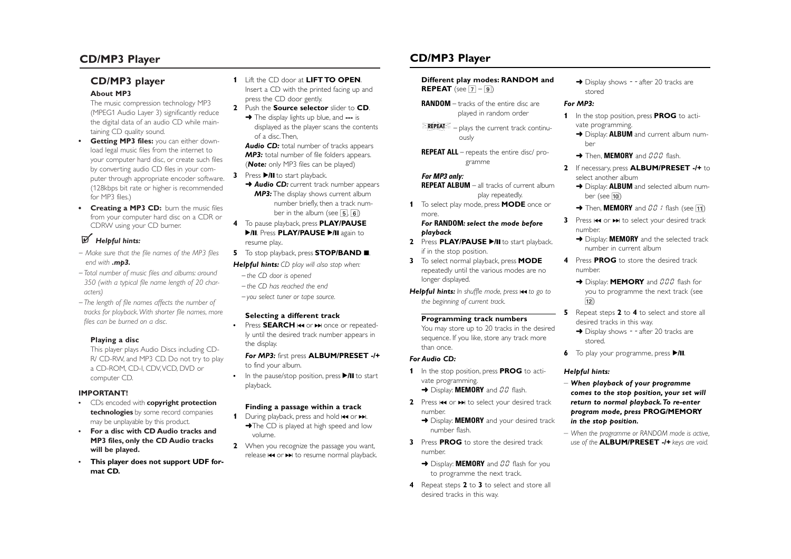# **CD/MP3 Player**

# **CD/MP3 player**

### **About MP3**

The music compression technology MP3 (MPEG1 Audio Layer 3) significantly reduce the digital data of an audio CD while maintaining CD quality sound.

- **• Getting MP3 files:** you can either download legal music files from the internet to your computer hard disc, or create such files by converting audio CD files in your computer through appropriate encoder software. (128kbps bit rate or higher is recommended for MP3 files.)
- **• Creating a MP3 CD:** burn the music files from your computer hard disc on a CDR or CDRW using your CD burner.

# *Helpful hints:*

- *– Make sure that the file names of the MP3 files end with .mp3.*
- *Total number of music files and albums: around 350 (with a typical file name length of 20 characters)*
- *The length of file names affects the number of tracks for playback.With shorter file names, more files can be burned on a disc.*

### **Playing a disc**

This player plays Audio Discs including CD-R/ CD-RW, and MP3 CD. Do not try to play a CD-ROM, CD-I, CDV,VCD, DVD or computer CD.

### **IMPORTANT!**

- **•** CDs encoded with **copyright protection technologies** by some record companies may be unplayable by this product.
- **• For a disc with CD Audio tracks and MP3 files, only the CD Audio tracks will be played.**
- **• This player does not support UDF format CD.**
- **1** Lift the CD door at **LIFT TO OPEN**. Insert a CD with the printed facing up and
- press the CD door gently. **2** Push the **Source selector** slider to **CD**.
	- ➜ The display lights up blue, and **---** is displayed as the player scans the contents of a disc.Then,

**Audio CD:** total number of tracks appears *MP3:* total number of file folders appears. (*Note:* only MP3 files can be played)

**3** Press **>/II** to start playback. **→ Audio CD:** current track number appears

**MP3:** The display shows current album number briefly, then a track number in the album (see 5*,* 6)

- **4** To pause playback, press **PLAY/PAUSE ▶/II. Press PLAY/PAUSE ▶/II again to** resume play..
- **5** To stop playback, press **STOP/BAND .** 
	- *Helpful hints: CD play will also stop when:*
	- *the CD door is opened – the CD has reached the end*

*– you select tuner or tape source.*

### **Selecting a different track**

**•**

• Press SEARCH I<< or ► once or repeatedly until the desired track number appears in the display.

### *For MP3:* first press **ALBUM/PRESET -/+** to find your album.

• In the pause/stop position, press **>/II** to start playback.

# **Finding a passage within a track**

- **1** During playback, press and hold **144** or ►■. →The CD is played at high speed and low volume.
- **2** When you recognize the passage you want, release **1∢ or ▶** to resume normal playback.

# **CD/MP3 Player**

# **Different play modes: RANDOM and**

**REPEAT** (see [7] – [9])

- **RANDOM**  tracks of the entire disc are played in random order
- EREPEATS – plays the current track continuously
- **REPEAT ALL**  repeats the entire disc/ programme

### *For MP3 only:*

- **REPEAT ALBUM** all tracks of current album play repeatedly.
- **1** To select play mode, press **MODE** once or more.

### *For* **RANDOM***: select the mode before playback*

- **2** Press **PLAY/PAUSE**  2**/**; to start playback. if in the stop position.
- **3** To select normal playback, press **MODE** repeatedly until the various modes are no longer displayed.
- *Helpful hints: In shuffle mode, press* <sup>∞</sup> *to go to the beginning of current track.*

### **Programming track numbers**

You may store up to 20 tracks in the desired sequence. If you like, store any track more than once.

### *For Audio CD:*

- **1** In the stop position, press **PROG** to activate programming. → Display: **MEMORY** and  $\overline{U}\overline{U}$  flash.
- **2** Press **I<<** or ► to select your desired track number.
- **→** Display: **MEMORY** and your desired track number flash.
- **3** Press **PROG** to store the desired track number.
	- **→** Display: **MEMORY** and *00* flash for you to programme the next track.
- **4** Repeat steps **2** to **3** to select and store all desired tracks in this way.

→ Display shows - - after 20 tracks are stored

# *For MP3:*

- **1** In the stop position, press **PROG** to activate programming.
	- **→** Display: **ALBUM** and current album number
	- **→ Then, MEMORY** and *000* flash.
- **2** If necessary, press **ALBUM/PRESET -/+** to select another album
	- **→** Display: **ALBUM** and selected album number (see <mark>10</mark>)
	- $\rightarrow$  Then, **MEMORY** and  $\emph{IO}$   $l$  flash (see  $\bm{\boxdot}$
- **3** Press  $\leftrightarrow$  or  $\rightarrow$  to select your desired track number.
	- **→** Display: **MEMORY** and the selected track number in current album
- **4** Press **PROG** to store the desired track number.
	- **→** Display: **MEMORY** and 000 flash for you to programme the next track (see  $\overline{12}$
- **5** Repeat steps **2** to **4** to select and store all desired tracks in this way.
	- → Display shows - after 20 tracks are stored.
- **6** To play your programme, press **>/II**.

### *Helpful hints:*

- *When playback of your programme comes to the stop position, your set will return to normal playback.To re-enter program mode, press* **PROG/MEMORY** *in the stop position.*
- *When the programme or RANDOM mode is active, use of the* **ALBUM/PRESET -/+** *keys are void.*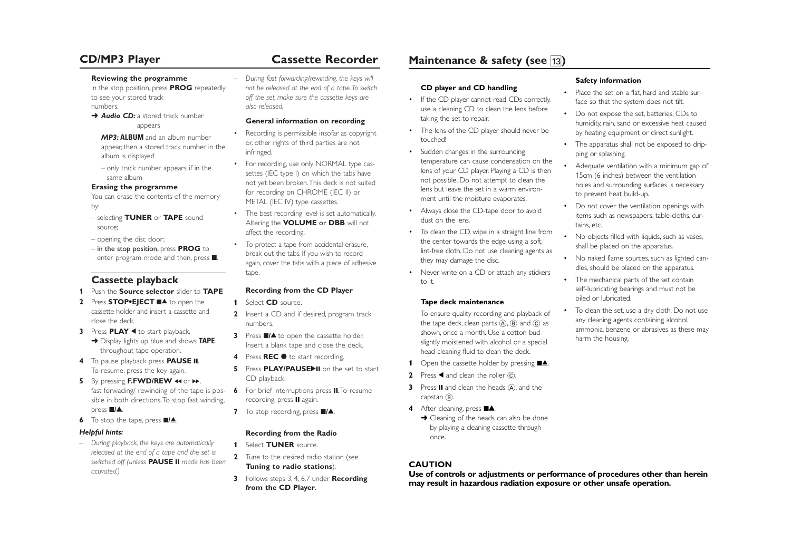# **CD/MP3 Player Cassette Recorder**

#### **Reviewing the programme**

In the stop position, press **PROG** repeatedly to see your stored track numbers.

**→ Audio CD:** a stored track number appears

*MP3:* **ALBUM** and an album number appear, then a stored track number in the album is displayed

– only track number appears if in the same album

### **Erasing the programme**

You can erase the contents of the memory by:

- selecting **TUNER** or **TAPE** sound source;
- opening the disc door;
- in the stop position, press **PROG** to enter program mode and then, press  $\blacksquare$ .

# **Cassette playback**

- **1** Push the **Source selector** slider to **TAPE**
- **2** Press **STOP**<sup>•</sup>**EJECT** ■▲ to open the cassette holder and insert a cassette and close the deck.
- **3** Press **PLAY** < to start playback. ➜ Display lights up blue and shows **TAPE** throughout tape operation.
- **4** To pause playback press **PAUSE II**. To resume, press the key again.
- **5** By pressing **F.FWD/REW <<** or  $\rightarrow$ , fast forwading/ rewinding of the tape is possible in both directions.To stop fast winding, press ■**/▲**.
- **6** To stop the tape, press **II**

### *Helpful hints:*

– *During playback, the keys are automatically released at the end of a tape and the set is switched off (unless* **PAUSE** ; *mode has been activated.)*

– *During fast forwarding/rewinding, the keys will not be released at the end of a tape.To switch off the set, make sure the cassette keys are also released.*

## **General information on recording**

- Recording is permissible insofar as copyright or. other rights of third parties are not infringed.
- For recording, use only NORMAL type cassettes (IEC type I) on which the tabs have not yet been broken.This deck is not suited for recording on CHROME (IEC II) or METAL (IEC IV) type cassettes.
- The best recording level is set automatically. Altering the **VOLUME** or **DBB** will not affect the recording.
- To protect a tape from accidental erasure, break out the tabs. If you wish to record again, cover the tabs with a piece of adhesive tape.

# **Recording from the CD Player**

**1** Select **CD** source.

•

- **2** Insert a CD and if desired, program track numbers.
- **3** Press ■/▲ to open the cassette holder. Insert a blank tape and close the deck.
- **4** Press **REC**  0 to start recording.
- **5** Press **PLAY/PAUSE**II on the set to start CD playback.
- **6** For brief interruptions press II. To resume recording, press II again.
- **7** To stop recording, press **II/**.

# **Recording from the Radio**

- **1** Select **TUNER** source.
- **2** Tune to the desired radio station (see **Tuning to radio stations**).
- **3** Follows steps 3, 4, 6,7 under **Recording from the CD Player**.

# **Maintenance & safety (see**  $\overline{13}$ **)**

### **CD player and CD handling**

- If the CD player cannot read CDs correctly, use a cleaning CD to clean the lens before taking the set to repair.
- The lens of the CD player should never be touched!
- Sudden changes in the surrounding temperature can cause condensation on the lens of your CD player. Playing a CD is then not possible. Do not attempt to clean the lens but leave the set in a warm environment until the moisture evaporates.
- Always close the CD-tape door to avoid dust on the lens.
- To clean the CD, wipe in a straight line from the center towards the edge using a soft, lint-free cloth. Do not use cleaning agents as they may damage the disc.
- Never write on a CD or attach any stickers to it.

# **Tape deck maintenance**

To ensure quality recording and playback of the tape deck, clean parts  $\left(\mathsf{A}\right)$ ,  $\left(\mathsf{B}\right)$  and  $\left(\mathsf{C}\right)$  as shown, once a month. Use a cotton bud slightly moistened with alcohol or a special head cleaning fluid to clean the deck.

- **1** Open the cassette holder by pressing  $\blacksquare$
- **2** Press ◀ and clean the roller ⓒ.
- **3** Press **II** and clean the heads (A), and the capstan B.
- **4** After cleaning, press ■▲
	- **→** Cleaning of the heads can also be done by playing a cleaning cassette through once.

# **CAUTION**

**Use of controls or adjustments or performance of procedures other than herein may result in hazardous radiation exposure or other unsafe operation.**

•

# **Safety information**

- Place the set on a flat, hard and stable surface so that the system does not tilt.
- • Do not expose the set, batteries, CDs to humidity, rain, sand or excessive heat caused by heating equipment or direct sunlight.
- The apparatus shall not be exposed to dripping or splashing.
- • Adequate ventilation with a minimum gap of 15cm (6 inches) between the ventilation holes and surrounding surfaces is necessary to prevent heat build-up.
- • Do not cover the ventilation openings with items such as newspapers, table-cloths, curtains, etc.
- No objects filled with liquids, such as vases, shall be placed on the apparatus.
- • No naked flame sources, such as lighted candles, should be placed on the apparatus.
- The mechanical parts of the set contain self-lubricating bearings and must not be oiled or lubricated.
- To clean the set, use a dry cloth. Do not use any cleaning agents containing alcohol, ammonia, benzene or abrasives as these may harm the housing.